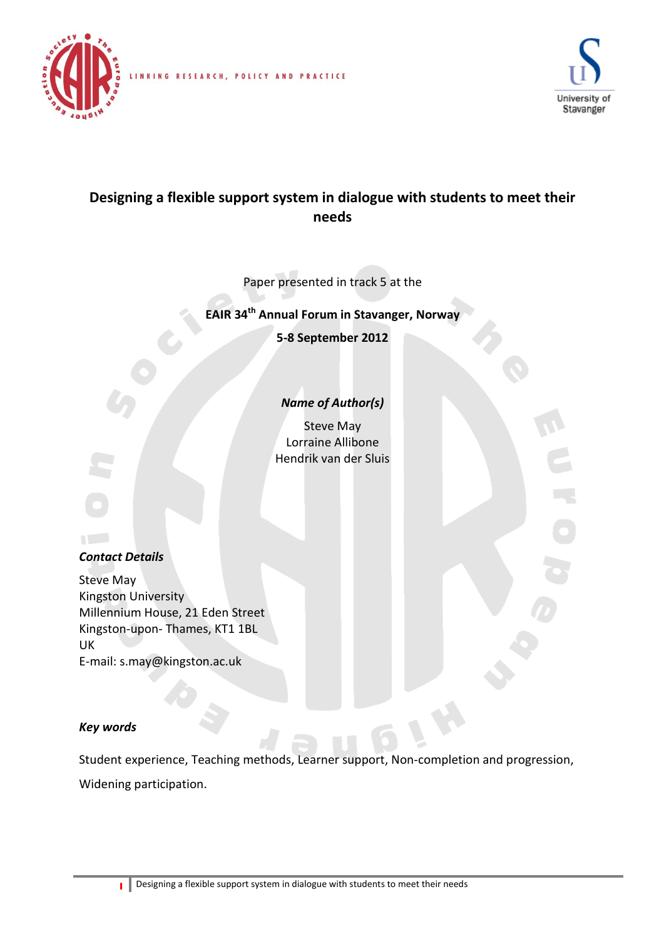



# **Designing a flexible support system in dialogue with students to meet their needs**

INKING RESEARCH, POLICY AND PRACTICE

Paper presented in track 5 at the

**EAIR 34 th Annual Forum in Stavanger, Norway**

**5-8 September 2012**

### *Name of Author(s)*

Steve May Lorraine Allibone Hendrik van der Sluis

**Alberta** 

# *Contact Details*

Steve May Kingston University Millennium House, 21 Eden Street Kingston-upon- Thames, KT1 1BL UK E-mail: s.may@kingston.ac.uk

### *Key words*

Student experience, Teaching methods, Learner support, Non-completion and progression, Widening participation.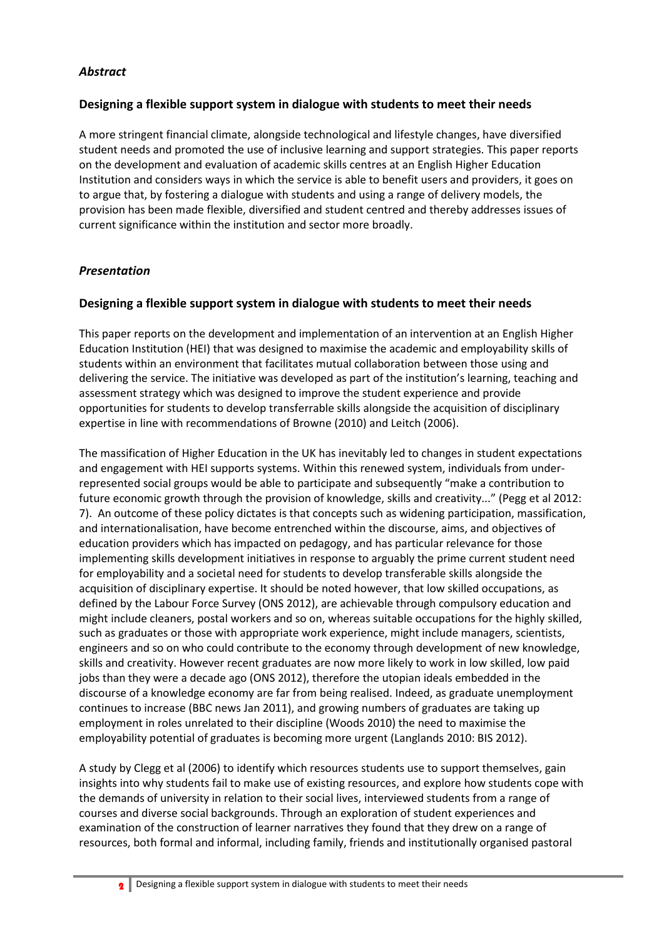### *Abstract*

#### **Designing a flexible support system in dialogue with students to meet their needs**

A more stringent financial climate, alongside technological and lifestyle changes, have diversified student needs and promoted the use of inclusive learning and support strategies. This paper reports on the development and evaluation of academic skills centres at an English Higher Education Institution and considers ways in which the service is able to benefit users and providers, it goes on to argue that, by fostering a dialogue with students and using a range of delivery models, the provision has been made flexible, diversified and student centred and thereby addresses issues of current significance within the institution and sector more broadly.

#### *Presentation*

#### **Designing a flexible support system in dialogue with students to meet their needs**

This paper reports on the development and implementation of an intervention at an English Higher Education Institution (HEI) that was designed to maximise the academic and employability skills of students within an environment that facilitates mutual collaboration between those using and delivering the service. The initiative was developed as part of the institution's learning, teaching and assessment strategy which was designed to improve the student experience and provide opportunities for students to develop transferrable skills alongside the acquisition of disciplinary expertise in line with recommendations of Browne (2010) and Leitch (2006).

The massification of Higher Education in the UK has inevitably led to changes in student expectations and engagement with HEI supports systems. Within this renewed system, individuals from underrepresented social groups would be able to participate and subsequently "make a contribution to future economic growth through the provision of knowledge, skills and creativity..." (Pegg et al 2012: 7). An outcome of these policy dictates is that concepts such as widening participation, massification, and internationalisation, have become entrenched within the discourse, aims, and objectives of education providers which has impacted on pedagogy, and has particular relevance for those implementing skills development initiatives in response to arguably the prime current student need for employability and a societal need for students to develop transferable skills alongside the acquisition of disciplinary expertise. It should be noted however, that low skilled occupations, as defined by the Labour Force Survey (ONS 2012), are achievable through compulsory education and might include cleaners, postal workers and so on, whereas suitable occupations for the highly skilled, such as graduates or those with appropriate work experience, might include managers, scientists, engineers and so on who could contribute to the economy through development of new knowledge, skills and creativity. However recent graduates are now more likely to work in low skilled, low paid jobs than they were a decade ago (ONS 2012), therefore the utopian ideals embedded in the discourse of a knowledge economy are far from being realised. Indeed, as graduate unemployment continues to increase (BBC news Jan 2011), and growing numbers of graduates are taking up employment in roles unrelated to their discipline (Woods 2010) the need to maximise the employability potential of graduates is becoming more urgent (Langlands 2010: BIS 2012).

A study by Clegg et al (2006) to identify which resources students use to support themselves, gain insights into why students fail to make use of existing resources, and explore how students cope with the demands of university in relation to their social lives, interviewed students from a range of courses and diverse social backgrounds. Through an exploration of student experiences and examination of the construction of learner narratives they found that they drew on a range of resources, both formal and informal, including family, friends and institutionally organised pastoral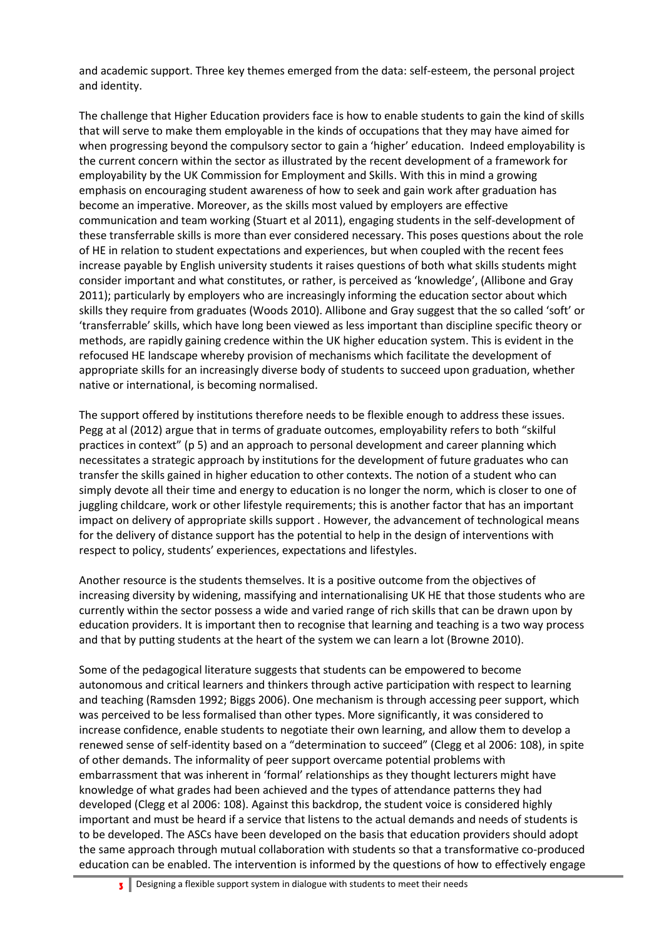and academic support. Three key themes emerged from the data: self-esteem, the personal project and identity.

The challenge that Higher Education providers face is how to enable students to gain the kind of skills that will serve to make them employable in the kinds of occupations that they may have aimed for when progressing beyond the compulsory sector to gain a 'higher' education. Indeed employability is the current concern within the sector as illustrated by the recent development of a framework for employability by the UK Commission for Employment and Skills. With this in mind a growing emphasis on encouraging student awareness of how to seek and gain work after graduation has become an imperative. Moreover, as the skills most valued by employers are effective communication and team working (Stuart et al 2011), engaging students in the self-development of these transferrable skills is more than ever considered necessary. This poses questions about the role of HE in relation to student expectations and experiences, but when coupled with the recent fees increase payable by English university students it raises questions of both what skills students might consider important and what constitutes, or rather, is perceived as 'knowledge', (Allibone and Gray 2011); particularly by employers who are increasingly informing the education sector about which skills they require from graduates (Woods 2010). Allibone and Gray suggest that the so called 'soft' or 'transferrable' skills, which have long been viewed as less important than discipline specific theory or methods, are rapidly gaining credence within the UK higher education system. This is evident in the refocused HE landscape whereby provision of mechanisms which facilitate the development of appropriate skills for an increasingly diverse body of students to succeed upon graduation, whether native or international, is becoming normalised.

The support offered by institutions therefore needs to be flexible enough to address these issues. Pegg at al (2012) argue that in terms of graduate outcomes, employability refers to both "skilful practices in context" (p 5) and an approach to personal development and career planning which necessitates a strategic approach by institutions for the development of future graduates who can transfer the skills gained in higher education to other contexts. The notion of a student who can simply devote all their time and energy to education is no longer the norm, which is closer to one of juggling childcare, work or other lifestyle requirements; this is another factor that has an important impact on delivery of appropriate skills support . However, the advancement of technological means for the delivery of distance support has the potential to help in the design of interventions with respect to policy, students' experiences, expectations and lifestyles.

Another resource is the students themselves. It is a positive outcome from the objectives of increasing diversity by widening, massifying and internationalising UK HE that those students who are currently within the sector possess a wide and varied range of rich skills that can be drawn upon by education providers. It is important then to recognise that learning and teaching is a two way process and that by putting students at the heart of the system we can learn a lot (Browne 2010).

Some of the pedagogical literature suggests that students can be empowered to become autonomous and critical learners and thinkers through active participation with respect to learning and teaching (Ramsden 1992; Biggs 2006). One mechanism is through accessing peer support, which was perceived to be less formalised than other types. More significantly, it was considered to increase confidence, enable students to negotiate their own learning, and allow them to develop a renewed sense of self-identity based on a "determination to succeed" (Clegg et al 2006: 108), in spite of other demands. The informality of peer support overcame potential problems with embarrassment that was inherent in 'formal' relationships as they thought lecturers might have knowledge of what grades had been achieved and the types of attendance patterns they had developed (Clegg et al 2006: 108). Against this backdrop, the student voice is considered highly important and must be heard if a service that listens to the actual demands and needs of students is to be developed. The ASCs have been developed on the basis that education providers should adopt the same approach through mutual collaboration with students so that a transformative co-produced education can be enabled. The intervention is informed by the questions of how to effectively engage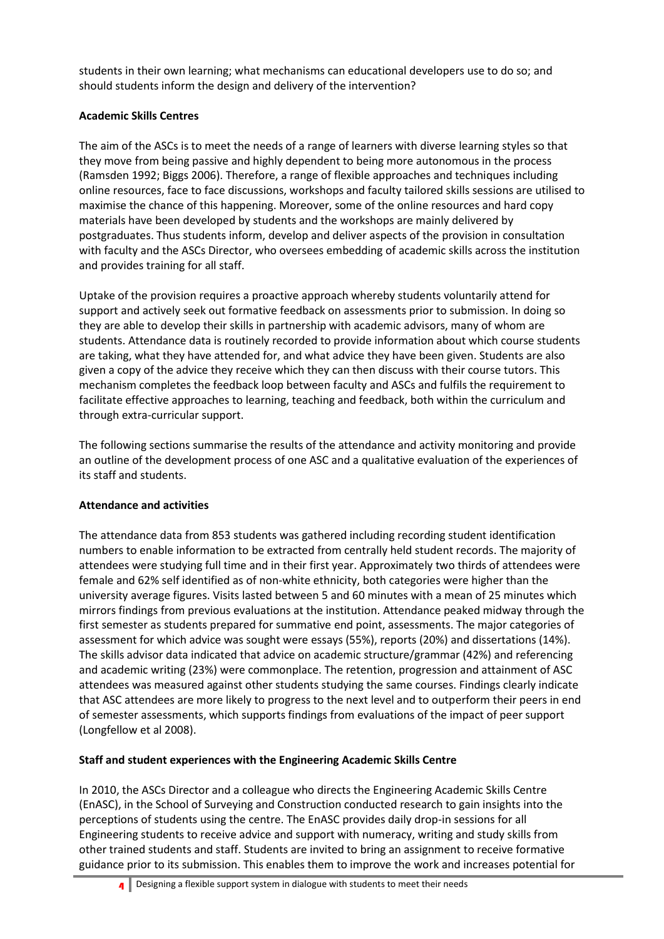students in their own learning; what mechanisms can educational developers use to do so; and should students inform the design and delivery of the intervention?

## **Academic Skills Centres**

The aim of the ASCs is to meet the needs of a range of learners with diverse learning styles so that they move from being passive and highly dependent to being more autonomous in the process (Ramsden 1992; Biggs 2006). Therefore, a range of flexible approaches and techniques including online resources, face to face discussions, workshops and faculty tailored skills sessions are utilised to maximise the chance of this happening. Moreover, some of the online resources and hard copy materials have been developed by students and the workshops are mainly delivered by postgraduates. Thus students inform, develop and deliver aspects of the provision in consultation with faculty and the ASCs Director, who oversees embedding of academic skills across the institution and provides training for all staff.

Uptake of the provision requires a proactive approach whereby students voluntarily attend for support and actively seek out formative feedback on assessments prior to submission. In doing so they are able to develop their skills in partnership with academic advisors, many of whom are students. Attendance data is routinely recorded to provide information about which course students are taking, what they have attended for, and what advice they have been given. Students are also given a copy of the advice they receive which they can then discuss with their course tutors. This mechanism completes the feedback loop between faculty and ASCs and fulfils the requirement to facilitate effective approaches to learning, teaching and feedback, both within the curriculum and through extra-curricular support.

The following sections summarise the results of the attendance and activity monitoring and provide an outline of the development process of one ASC and a qualitative evaluation of the experiences of its staff and students.

# **Attendance and activities**

The attendance data from 853 students was gathered including recording student identification numbers to enable information to be extracted from centrally held student records. The majority of attendees were studying full time and in their first year. Approximately two thirds of attendees were female and 62% self identified as of non-white ethnicity, both categories were higher than the university average figures. Visits lasted between 5 and 60 minutes with a mean of 25 minutes which mirrors findings from previous evaluations at the institution. Attendance peaked midway through the first semester as students prepared for summative end point, assessments. The major categories of assessment for which advice was sought were essays (55%), reports (20%) and dissertations (14%). The skills advisor data indicated that advice on academic structure/grammar (42%) and referencing and academic writing (23%) were commonplace. The retention, progression and attainment of ASC attendees was measured against other students studying the same courses. Findings clearly indicate that ASC attendees are more likely to progress to the next level and to outperform their peers in end of semester assessments, which supports findings from evaluations of the impact of peer support (Longfellow et al 2008).

# **Staff and student experiences with the Engineering Academic Skills Centre**

In 2010, the ASCs Director and a colleague who directs the Engineering Academic Skills Centre (EnASC), in the School of Surveying and Construction conducted research to gain insights into the perceptions of students using the centre. The EnASC provides daily drop-in sessions for all Engineering students to receive advice and support with numeracy, writing and study skills from other trained students and staff. Students are invited to bring an assignment to receive formative guidance prior to its submission. This enables them to improve the work and increases potential for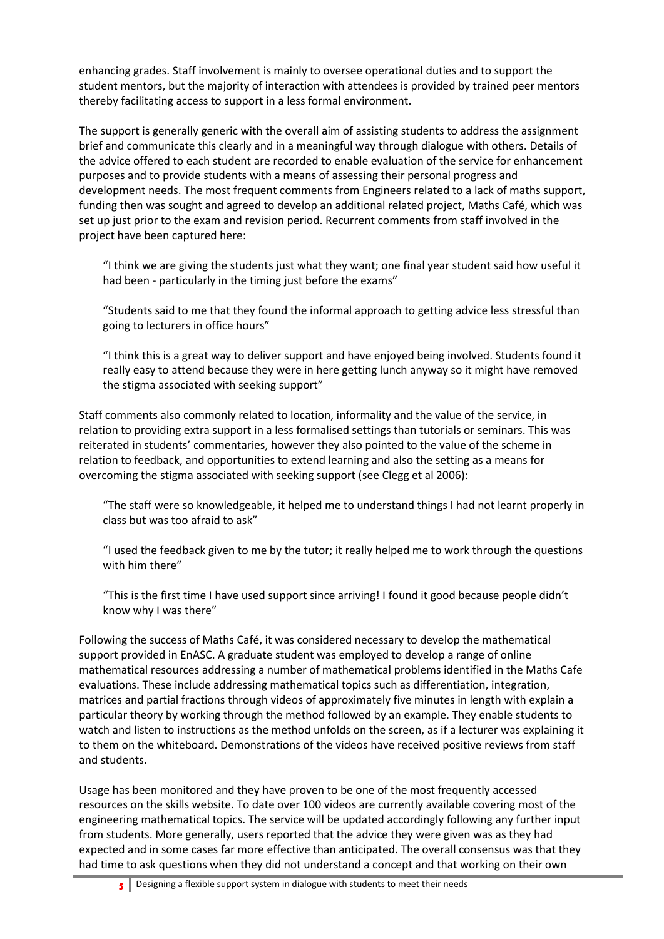enhancing grades. Staff involvement is mainly to oversee operational duties and to support the student mentors, but the majority of interaction with attendees is provided by trained peer mentors thereby facilitating access to support in a less formal environment.

The support is generally generic with the overall aim of assisting students to address the assignment brief and communicate this clearly and in a meaningful way through dialogue with others. Details of the advice offered to each student are recorded to enable evaluation of the service for enhancement purposes and to provide students with a means of assessing their personal progress and development needs. The most frequent comments from Engineers related to a lack of maths support, funding then was sought and agreed to develop an additional related project, Maths Café, which was set up just prior to the exam and revision period. Recurrent comments from staff involved in the project have been captured here:

"I think we are giving the students just what they want; one final year student said how useful it had been - particularly in the timing just before the exams"

"Students said to me that they found the informal approach to getting advice less stressful than going to lecturers in office hours"

"I think this is a great way to deliver support and have enjoyed being involved. Students found it really easy to attend because they were in here getting lunch anyway so it might have removed the stigma associated with seeking support"

Staff comments also commonly related to location, informality and the value of the service, in relation to providing extra support in a less formalised settings than tutorials or seminars. This was reiterated in students' commentaries, however they also pointed to the value of the scheme in relation to feedback, and opportunities to extend learning and also the setting as a means for overcoming the stigma associated with seeking support (see Clegg et al 2006):

"The staff were so knowledgeable, it helped me to understand things I had not learnt properly in class but was too afraid to ask"

"I used the feedback given to me by the tutor; it really helped me to work through the questions with him there"

"This is the first time I have used support since arriving! I found it good because people didn't know why I was there"

Following the success of Maths Café, it was considered necessary to develop the mathematical support provided in EnASC. A graduate student was employed to develop a range of online mathematical resources addressing a number of mathematical problems identified in the Maths Cafe evaluations. These include addressing mathematical topics such as differentiation, integration, matrices and partial fractions through videos of approximately five minutes in length with explain a particular theory by working through the method followed by an example. They enable students to watch and listen to instructions as the method unfolds on the screen, as if a lecturer was explaining it to them on the whiteboard. Demonstrations of the videos have received positive reviews from staff and students.

Usage has been monitored and they have proven to be one of the most frequently accessed resources on the skills website. To date over 100 videos are currently available covering most of the engineering mathematical topics. The service will be updated accordingly following any further input from students. More generally, users reported that the advice they were given was as they had expected and in some cases far more effective than anticipated. The overall consensus was that they had time to ask questions when they did not understand a concept and that working on their own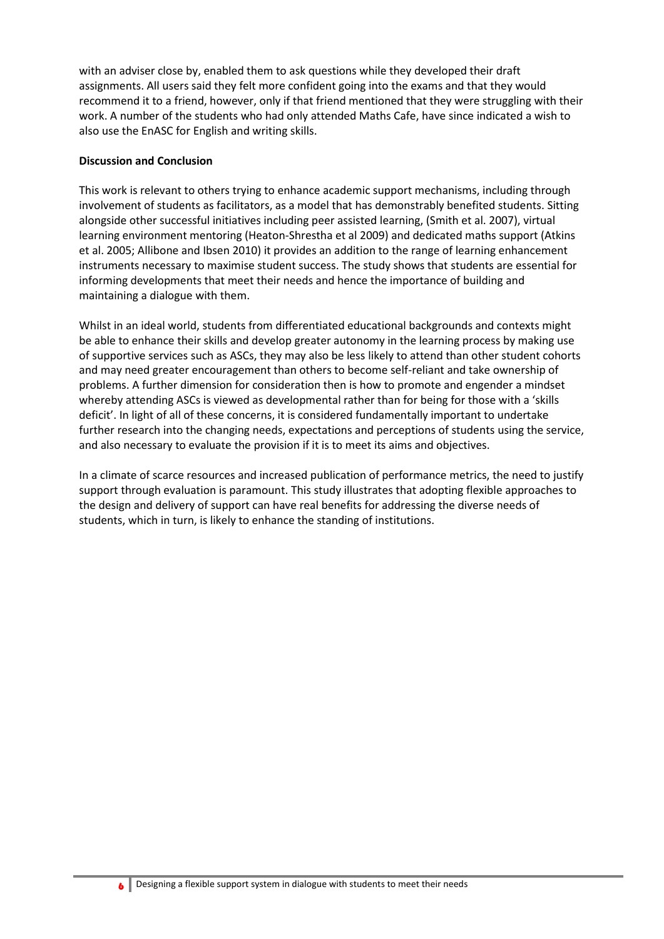with an adviser close by, enabled them to ask questions while they developed their draft assignments. All users said they felt more confident going into the exams and that they would recommend it to a friend, however, only if that friend mentioned that they were struggling with their work. A number of the students who had only attended Maths Cafe, have since indicated a wish to also use the EnASC for English and writing skills.

#### **Discussion and Conclusion**

This work is relevant to others trying to enhance academic support mechanisms, including through involvement of students as facilitators, as a model that has demonstrably benefited students. Sitting alongside other successful initiatives including peer assisted learning, (Smith et al. 2007), virtual learning environment mentoring (Heaton-Shrestha et al 2009) and dedicated maths support (Atkins et al. 2005; Allibone and Ibsen 2010) it provides an addition to the range of learning enhancement instruments necessary to maximise student success. The study shows that students are essential for informing developments that meet their needs and hence the importance of building and maintaining a dialogue with them.

Whilst in an ideal world, students from differentiated educational backgrounds and contexts might be able to enhance their skills and develop greater autonomy in the learning process by making use of supportive services such as ASCs, they may also be less likely to attend than other student cohorts and may need greater encouragement than others to become self-reliant and take ownership of problems. A further dimension for consideration then is how to promote and engender a mindset whereby attending ASCs is viewed as developmental rather than for being for those with a 'skills deficit'. In light of all of these concerns, it is considered fundamentally important to undertake further research into the changing needs, expectations and perceptions of students using the service, and also necessary to evaluate the provision if it is to meet its aims and objectives.

In a climate of scarce resources and increased publication of performance metrics, the need to justify support through evaluation is paramount. This study illustrates that adopting flexible approaches to the design and delivery of support can have real benefits for addressing the diverse needs of students, which in turn, is likely to enhance the standing of institutions.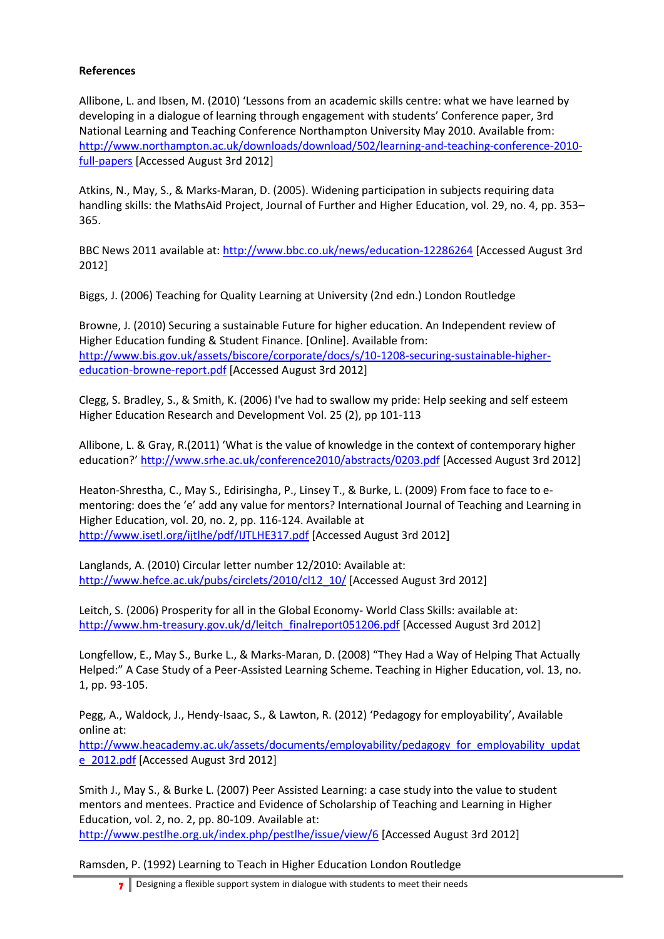#### **References**

Allibone, L. and Ibsen, M. (2010) 'Lessons from an academic skills centre: what we have learned by developing in a dialogue of learning through engagement with students' Conference paper, 3rd National Learning and Teaching Conference Northampton University May 2010. Available from: [http://www.northampton.ac.uk/downloads/download/502/learning-and-teaching-conference-2010](http://www.northampton.ac.uk/downloads/download/502/learning-and-teaching-conference-2010-full-papers) [full-papers](http://www.northampton.ac.uk/downloads/download/502/learning-and-teaching-conference-2010-full-papers) [Accessed August 3rd 2012]

Atkins, N., May, S., & Marks-Maran, D. (2005). Widening participation in subjects requiring data handling skills: the MathsAid Project, Journal of Further and Higher Education, vol. 29, no. 4, pp. 353– 365.

BBC News 2011 available at[: http://www.bbc.co.uk/news/education-12286264](http://www.bbc.co.uk/news/education-12286264) [Accessed August 3rd 2012]

Biggs, J. (2006) Teaching for Quality Learning at University (2nd edn.) London Routledge

Browne, J. (2010) Securing a sustainable Future for higher education. An Independent review of Higher Education funding & Student Finance. [Online]. Available from: [http://www.bis.gov.uk/assets/biscore/corporate/docs/s/10-1208-securing-sustainable-higher](http://www.bis.gov.uk/assets/biscore/corporate/docs/s/10-1208-securing-sustainable-higher-education-browne-report.pdf)[education-browne-report.pdf](http://www.bis.gov.uk/assets/biscore/corporate/docs/s/10-1208-securing-sustainable-higher-education-browne-report.pdf) [Accessed August 3rd 2012]

Clegg, S. Bradley, S., & Smith, K. (2006) I've had to swallow my pride: Help seeking and self esteem Higher Education Research and Development Vol. 25 (2), pp 101-113

Allibone, L. & Gray, R.(2011) 'What is the value of knowledge in the context of contemporary higher education?' <http://www.srhe.ac.uk/conference2010/abstracts/0203.pdf> [Accessed August 3rd 2012]

Heaton-Shrestha, C., May S., Edirisingha, P., Linsey T., & Burke, L. (2009) From face to face to ementoring: does the 'e' add any value for mentors? International Journal of Teaching and Learning in Higher Education, vol. 20, no. 2, pp. 116-124. Available at <http://www.isetl.org/ijtlhe/pdf/IJTLHE317.pdf> [Accessed August 3rd 2012]

Langlands, A. (2010) Circular letter number 12/2010: Available at: [http://www.hefce.ac.uk/pubs/circlets/2010/cl12\\_10/](http://www.hefce.ac.uk/pubs/circlets/2010/cl12_10/) [Accessed August 3rd 2012]

Leitch, S. (2006) Prosperity for all in the Global Economy‐ World Class Skills: available at: [http://www.hm-treasury.gov.uk/d/leitch\\_finalreport051206.pdf](http://www.hm-treasury.gov.uk/d/leitch_finalreport051206.pdf) [Accessed August 3rd 2012]

Longfellow, E., May S., Burke L., & Marks-Maran, D. (2008) "They Had a Way of Helping That Actually Helped:" A Case Study of a Peer-Assisted Learning Scheme. Teaching in Higher Education, vol. 13, no. 1, pp. 93-105.

Pegg, A., Waldock, J., Hendy-Isaac, S., & Lawton, R. (2012) 'Pedagogy for employability', Available online at:

[http://www.heacademy.ac.uk/assets/documents/employability/pedagogy\\_for\\_employability\\_updat](http://www.heacademy.ac.uk/assets/documents/employability/pedagogy_for_employability_update_2012.pdf) [e\\_2012.pdf](http://www.heacademy.ac.uk/assets/documents/employability/pedagogy_for_employability_update_2012.pdf) [Accessed August 3rd 2012]

Smith J., May S., & Burke L. (2007) Peer Assisted Learning: a case study into the value to student mentors and mentees. Practice and Evidence of Scholarship of Teaching and Learning in Higher Education, vol. 2, no. 2, pp. 80-109. Available at: <http://www.pestlhe.org.uk/index.php/pestlhe/issue/view/6> [Accessed August 3rd 2012]

Ramsden, P. (1992) Learning to Teach in Higher Education London Routledge